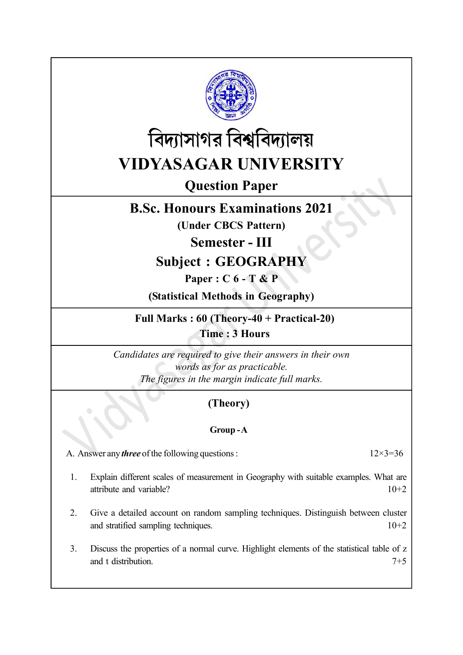



Question Paper

## B.Sc. Honours Examinations 2021

(Under CBCS Pattern)

Semester - III

# Subject : GEOGRAPHY

Paper : C 6 - T & P

(Statistical Methods in Geography)

Full Marks : 60 (Theory-40 + Practical-20) Time : 3 Hours

Candidates are required to give their answers in their own words as for as practicable. The figures in the margin indicate full marks.

## (Theory)

### Group - A

A. Answer any *three* of the following questions :  $12\times3=36$ 

- 1. Explain different scales of measurement in Geography with suitable examples. What are attribute and variable? 10+2
- 2. Give a detailed account on random sampling techniques. Distinguish between cluster and stratified sampling techniques. 10+2
- 3. Discuss the properties of a normal curve. Highlight elements of the statistical table of z and t distribution.  $7+5$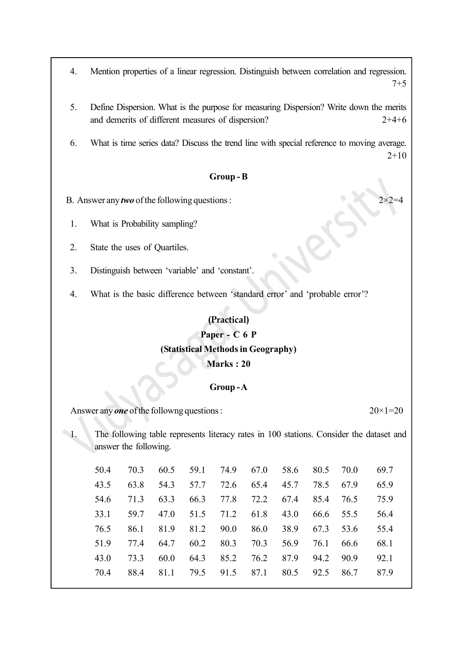4. Mention properties of a linear regression. Distinguish between correlation and regression. 7+5

- 5. Define Dispersion. What is the purpose for measuring Dispersion? Write down the merits and demerits of different measures of dispersion? 2+4+6
- 6. What is time series data? Discuss the trend line with special reference to moving average. 2+10

#### Group - B

B. Answer any two of the following questions :

- 1. What is Probability sampling?
- 2. State the uses of Quartiles.
- 3. Distinguish between 'variable' and 'constant'.
- 4. What is the basic difference between 'standard error' and 'probable error'?

#### (Practical)

### Paper - C 6 P (Statistical Methods in Geography)

#### Marks : 20

#### Group-A

Answer any **one** of the followng questions :  $20 \times 1 = 20$ 

1. The following table represents literacy rates in 100 stations. Consider the dataset and answer the following.

| 50.4 | 70.3 | 60.5 | 59.1 | 74.9 | 67.0 | 58.6 | 80.5 | 70.0 | 69.7 |
|------|------|------|------|------|------|------|------|------|------|
| 43.5 | 63.8 | 54.3 | 57.7 | 72.6 | 65.4 | 45.7 | 78.5 | 67.9 | 65.9 |
| 54.6 | 71.3 | 63.3 | 66.3 | 77.8 | 72.2 | 67.4 | 85.4 | 76.5 | 75.9 |
| 33.1 | 59.7 | 47.0 | 51.5 | 71.2 | 61.8 | 43.0 | 66.6 | 55.5 | 56.4 |
| 76.5 | 86.1 | 81.9 | 81.2 | 90.0 | 86.0 | 38.9 | 67.3 | 53.6 | 55.4 |
| 51.9 | 77.4 | 64.7 | 60.2 | 80.3 | 70.3 | 56.9 | 76.1 | 66.6 | 68.1 |
| 43.0 | 73.3 | 60.0 | 64.3 | 85.2 | 76.2 | 87.9 | 94.2 | 90.9 | 92.1 |
| 70.4 | 88.4 | 81.1 | 79.5 | 91.5 | 87.1 | 80.5 | 92.5 | 86.7 | 87.9 |
|      |      |      |      |      |      |      |      |      |      |